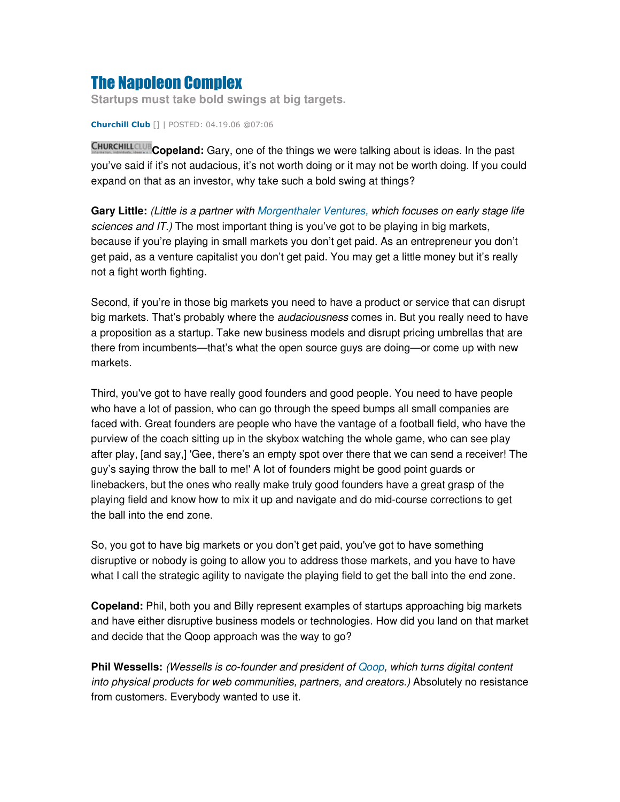## **The Napoleon Complex**

**Startups must take bold swings at big targets.**

**Churchill Club** [] | POSTED: 04.19.06 @07:06

**Copeland:** Gary, one of the things we were talking about is ideas. In the past you've said if it's not audacious, it's not worth doing or it may not be worth doing. If you could expand on that as an investor, why take such a bold swing at things?

**Gary Little:** *(Little is a partner with Morgenthaler Ventures, which focuses on early stage life sciences and IT.)* The most important thing is you've got to be playing in big markets, because if you're playing in small markets you don't get paid. As an entrepreneur you don't get paid, as a venture capitalist you don't get paid. You may get a little money but it's really not a fight worth fighting.

Second, if you're in those big markets you need to have a product or service that can disrupt big markets. That's probably where the *audaciousness* comes in. But you really need to have a proposition as a startup. Take new business models and disrupt pricing umbrellas that are there from incumbents—that's what the open source guys are doing—or come up with new markets.

Third, you've got to have really good founders and good people. You need to have people who have a lot of passion, who can go through the speed bumps all small companies are faced with. Great founders are people who have the vantage of a football field, who have the purview of the coach sitting up in the skybox watching the whole game, who can see play after play, [and say,] 'Gee, there's an empty spot over there that we can send a receiver! The guy's saying throw the ball to me!'A lot of founders might be good point guards or linebackers, but the ones who really make truly good founders have a great grasp of the playing field and know how to mix it up and navigate and do mid-course corrections to get the ball into the end zone.

So, you got to have big markets or you don't get paid, you've got to have something disruptive or nobody is going to allow you to address those markets, and you have to have what I call the strategic agility to navigate the playing field to get the ball into the end zone.

**Copeland:** Phil, both you and Billy represent examples of startups approaching big markets and have either disruptive business models or technologies. How did you land on that market and decide that the Qoop approach was the way to go?

**Phil Wessells:** *(Wessells is co-founder and president of Qoop, which turns digital content into physical products for web communities, partners, and creators.)* Absolutely no resistance from customers. Everybody wanted to use it.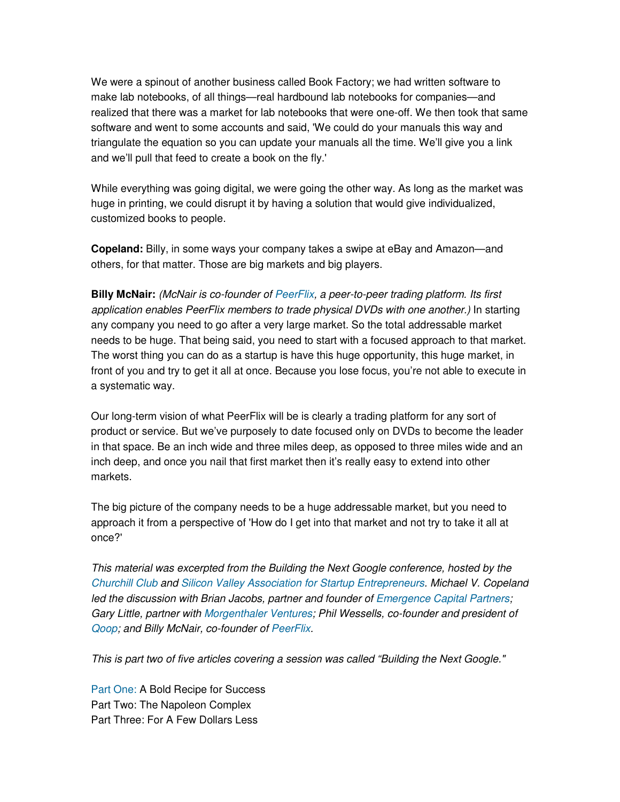We were a spinout of another business called Book Factory; we had written software to make lab notebooks, of all things—real hardbound lab notebooks for companies—and realized that there was a market for lab notebooks that were one-off. We then took that same software and went to some accounts and said, 'We could do your manuals this way and triangulate the equation so you can update your manuals all the time. We'll give you a link and we'll pull that feed to create a book on the fly.'

While everything was going digital, we were going the other way. As long as the market was huge in printing, we could disrupt it by having a solution that would give individualized, customized books to people.

**Copeland:** Billy, in some ways your company takes a swipe at eBay and Amazon—and others, for that matter. Those are big markets and big players.

**Billy McNair:** *(McNair is co-founder of PeerFlix, a peer-to-peer trading platform. Its first application enables PeerFlix members to trade physical DVDs with one another.)* In starting any company you need to go after a very large market. So the total addressable market needs to be huge. That being said, you need to start with a focused approach to that market. The worst thing you can do as a startup is have this huge opportunity, this huge market, in front of you and try to get it all at once. Because you lose focus, you're not able to execute in a systematic way.

Our long-term vision of what PeerFlix will be is clearly a trading platform for any sort of product or service. But we've purposely to date focused only on DVDs to become the leader in that space. Be an inch wide and three miles deep, as opposed to three miles wide and an inch deep, and once you nail that first market then it's really easy to extend into other markets.

The big picture of the company needs to be a huge addressable market, but you need to approach it from a perspective of 'How do I get into that market and not try to take it all at once?'

*This material was excerpted from the Building the Next Google conference, hosted by the Churchill Club and Silicon Valley Association for Startup Entrepreneurs. Michael V. Copeland led the discussion with Brian Jacobs, partner and founder of Emergence Capital Partners; Gary Little, partner with Morgenthaler Ventures; Phil Wessells, co-founder and president of Qoop; and Billy McNair, co-founder of PeerFlix.*

*This is part two of five articles covering a session was called "Building the Next Google."*

Part One: A Bold Recipe for Success Part Two: The Napoleon Complex Part Three: For A Few Dollars Less